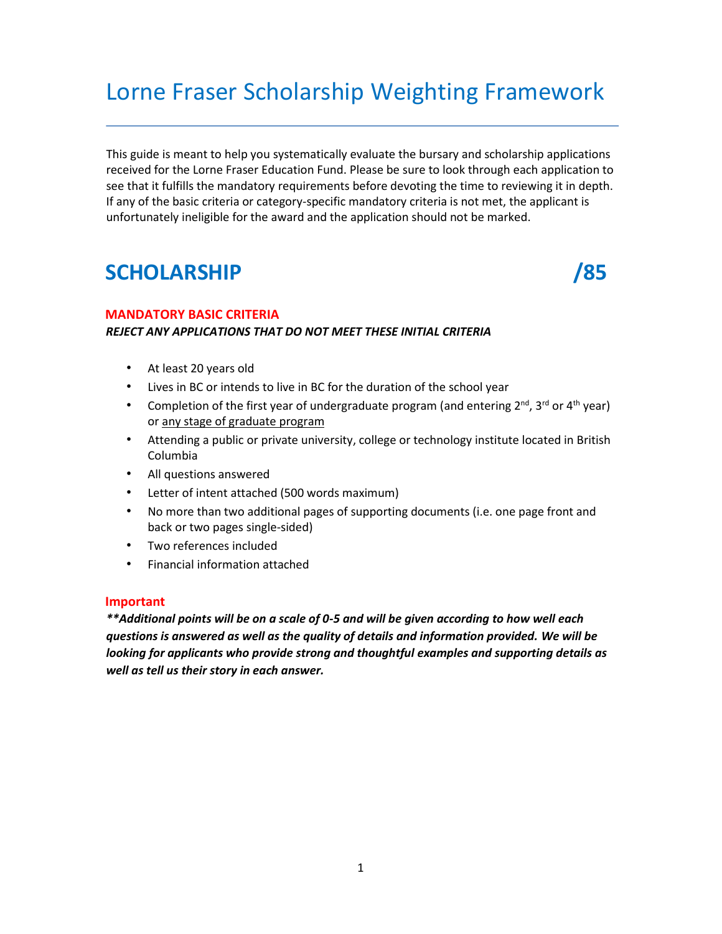# Lorne Fraser Scholarship Weighting Framework

This guide is meant to help you systematically evaluate the bursary and scholarship applications received for the Lorne Fraser Education Fund. Please be sure to look through each application to see that it fulfills the mandatory requirements before devoting the time to reviewing it in depth. If any of the basic criteria or category-specific mandatory criteria is not met, the applicant is unfortunately ineligible for the award and the application should not be marked.

# **SCHOLARSHIP /85**

### **MANDATORY BASIC CRITERIA**

### *REJECT ANY APPLICATIONS THAT DO NOT MEET THESE INITIAL CRITERIA*

- At least 20 years old
- Lives in BC or intends to live in BC for the duration of the school year
- Completion of the first year of undergraduate program (and entering 2<sup>nd</sup>, 3<sup>rd</sup> or 4<sup>th</sup> year) or any stage of graduate program
- Attending a public or private university, college or technology institute located in British Columbia
- All questions answered
- Letter of intent attached (500 words maximum)
- No more than two additional pages of supporting documents (i.e. one page front and back or two pages single-sided)
- Two references included
- Financial information attached

### **Important**

*\*\*Additional points will be on a scale of 0-5 and will be given according to how well each questions is answered as well as the quality of details and information provided. We will be looking for applicants who provide strong and thoughtful examples and supporting details as well as tell us their story in each answer.*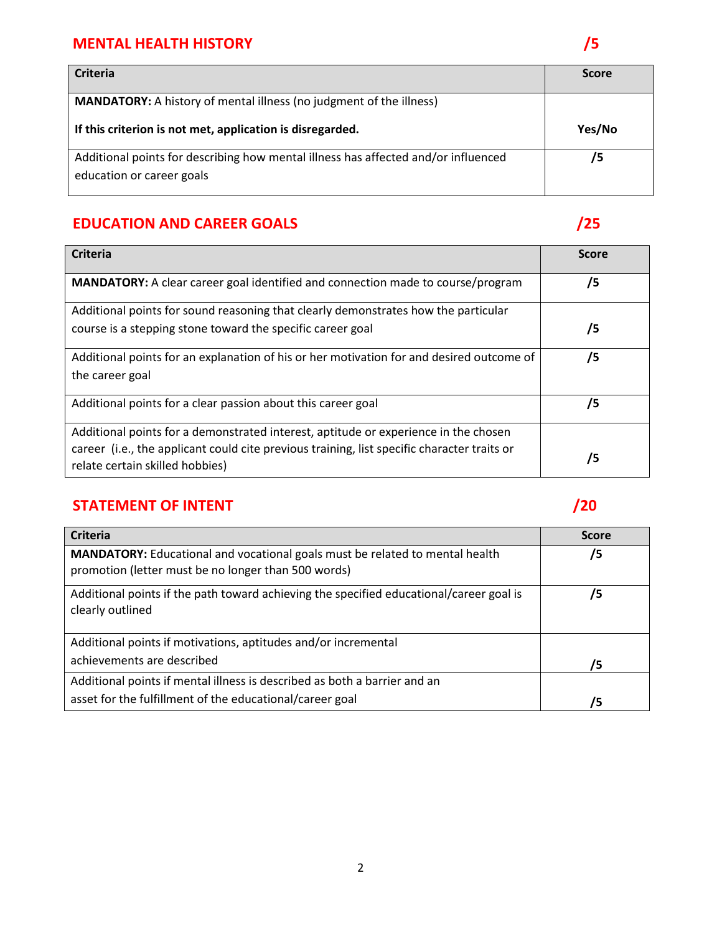### **MENTAL HEALTH HISTORY** *S*

| <b>Criteria</b>                                                                                                 | <b>Score</b> |
|-----------------------------------------------------------------------------------------------------------------|--------------|
| <b>MANDATORY:</b> A history of mental illness (no judgment of the illness)                                      |              |
| If this criterion is not met, application is disregarded.                                                       | Yes/No       |
| Additional points for describing how mental illness has affected and/or influenced<br>education or career goals | /5           |

# **EDUCATION AND CAREER GOALS** *CONTRACTION AND CAREER GOALS*

| <b>Criteria</b>                                                                                                                | <b>Score</b> |
|--------------------------------------------------------------------------------------------------------------------------------|--------------|
| <b>MANDATORY:</b> A clear career goal identified and connection made to course/program                                         | /5           |
| Additional points for sound reasoning that clearly demonstrates how the particular                                             |              |
| course is a stepping stone toward the specific career goal                                                                     | /5           |
| Additional points for an explanation of his or her motivation for and desired outcome of                                       | /5           |
| the career goal                                                                                                                |              |
| Additional points for a clear passion about this career goal                                                                   | 75           |
| Additional points for a demonstrated interest, aptitude or experience in the chosen                                            |              |
| career (i.e., the applicant could cite previous training, list specific character traits or<br>relate certain skilled hobbies) | 75           |

## **STATEMENT OF INTENT /20**

| <b>Criteria</b>                                                                                                                     | <b>Score</b> |
|-------------------------------------------------------------------------------------------------------------------------------------|--------------|
| MANDATORY: Educational and vocational goals must be related to mental health<br>promotion (letter must be no longer than 500 words) | /5           |
| Additional points if the path toward achieving the specified educational/career goal is<br>clearly outlined                         | /5           |
| Additional points if motivations, aptitudes and/or incremental                                                                      |              |
| achievements are described                                                                                                          | /5           |
| Additional points if mental illness is described as both a barrier and an                                                           |              |
| asset for the fulfillment of the educational/career goal                                                                            | /5           |